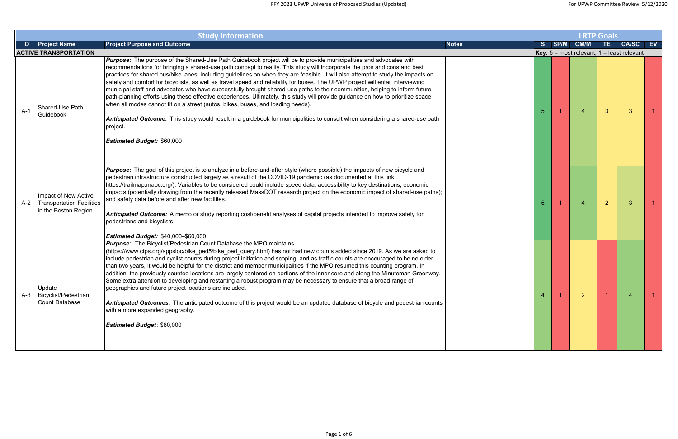| <b>Study Information</b> |                                                                                  |                                                                                                                                                                                                                                                                                                                                                                                                                                                                                                                                                                                                                                                                                                                                                                                                                                                                                                                                                                                                                                                                |              |                |        |                                                       | <b>LRTP Goals</b> |                |  |
|--------------------------|----------------------------------------------------------------------------------|----------------------------------------------------------------------------------------------------------------------------------------------------------------------------------------------------------------------------------------------------------------------------------------------------------------------------------------------------------------------------------------------------------------------------------------------------------------------------------------------------------------------------------------------------------------------------------------------------------------------------------------------------------------------------------------------------------------------------------------------------------------------------------------------------------------------------------------------------------------------------------------------------------------------------------------------------------------------------------------------------------------------------------------------------------------|--------------|----------------|--------|-------------------------------------------------------|-------------------|----------------|--|
| ID.                      | <b>Project Name</b>                                                              | <b>Project Purpose and Outcome</b>                                                                                                                                                                                                                                                                                                                                                                                                                                                                                                                                                                                                                                                                                                                                                                                                                                                                                                                                                                                                                             | <b>Notes</b> |                | S SP/M | <b>CM/M</b>                                           | TE 1              | CA/SC EV       |  |
|                          | <b>ACTIVE TRANSPORTATION</b>                                                     |                                                                                                                                                                                                                                                                                                                                                                                                                                                                                                                                                                                                                                                                                                                                                                                                                                                                                                                                                                                                                                                                |              |                |        | <b>Key:</b> $5 =$ most relevant, $1 =$ least relevant |                   |                |  |
| $A-1$                    | Shared-Use Path<br>Guidebook                                                     | Purpose: The purpose of the Shared-Use Path Guidebook project will be to provide municipalities and advocates with<br>recommendations for bringing a shared-use path concept to reality. This study will incorporate the pros and cons and best<br>oractices for shared bus/bike lanes, including guidelines on when they are feasible. It will also attempt to study the impacts on<br>safety and comfort for bicyclists, as well as travel speed and reliability for buses. The UPWP project will entail interviewing<br>municipal staff and advocates who have successfully brought shared-use paths to their communities, helping to inform future<br>path-planning efforts using these effective experiences. Ultimately, this study will provide guidance on how to prioritize space<br>when all modes cannot fit on a street (autos, bikes, buses, and loading needs).<br>Anticipated Outcome: This study would result in a guidebook for municipalities to consult when considering a shared-use path<br>project.<br><b>Estimated Budget: \$60,000</b> |              | 5.             |        | $\boldsymbol{\varDelta}$                              | 3                 | 3              |  |
| $A-2$                    | Impact of New Active<br><b>Transportation Facilities</b><br>in the Boston Region | Purpose: The goal of this project is to analyze in a before-and-after style (where possible) the impacts of new bicycle and<br>pedestrian infrastructure constructed largely as a result of the COVID-19 pandemic (as documented at this link:<br>https://trailmap.mapc.org/). Variables to be considered could include speed data; accessibility to key destinations; economic<br>impacts (potentially drawing from the recently released MassDOT research project on the economic impact of shared-use paths);<br>and safety data before and after new facilities.<br>Anticipated Outcome: A memo or study reporting cost/benefit analyses of capital projects intended to improve safety for<br>pedestrians and bicyclists.<br><b>Estimated Budget: \$40,000-\$60,000</b>                                                                                                                                                                                                                                                                                   |              | 5 <sup>1</sup> |        | $\overline{A}$                                        | $\overline{2}$    | 3              |  |
| $A-3$                    | Update<br>Bicyclist/Pedestrian<br>Count Database                                 | <b>Purpose:</b> The Bicyclist/Pedestrian Count Database the MPO maintains<br>(https://www.ctps.org/appsloc/bike ped5/bike ped query.html) has not had new counts added since 2019. As we are asked to<br>include pedestrian and cyclist counts during project initiation and scoping, and as traffic counts are encouraged to be no older<br>than two years, it would be helpful for the district and member municipalities if the MPO resumed this counting program. In<br>addition, the previously counted locations are largely centered on portions of the inner core and along the Minuteman Greenway.<br>Some extra attention to developing and restarting a robust program may be necessary to ensure that a broad range of<br>geographies and future project locations are included.<br>Anticipated Outcomes: The anticipated outcome of this project would be an updated database of bicycle and pedestrian counts<br>with a more expanded geography.<br><b>Estimated Budget: \$80,000</b>                                                            |              | 4              |        | $\overline{2}$                                        |                   | $\overline{4}$ |  |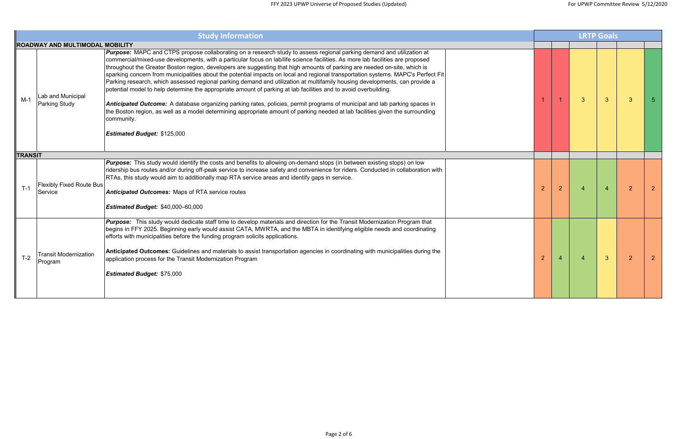| <b>Study Information</b>               |                                            |                                                                                                                                                                                                                                                                                                                                                                                                                                                                                                                                                                                                                                                                                                                                                                                                                                                                                                                                                                                                                                                                                                  |                |                |                        |   |
|----------------------------------------|--------------------------------------------|--------------------------------------------------------------------------------------------------------------------------------------------------------------------------------------------------------------------------------------------------------------------------------------------------------------------------------------------------------------------------------------------------------------------------------------------------------------------------------------------------------------------------------------------------------------------------------------------------------------------------------------------------------------------------------------------------------------------------------------------------------------------------------------------------------------------------------------------------------------------------------------------------------------------------------------------------------------------------------------------------------------------------------------------------------------------------------------------------|----------------|----------------|------------------------|---|
| <b>ROADWAY AND MULTIMODAL MOBILITY</b> |                                            |                                                                                                                                                                                                                                                                                                                                                                                                                                                                                                                                                                                                                                                                                                                                                                                                                                                                                                                                                                                                                                                                                                  |                |                |                        |   |
| $M-1$                                  | Lab and Municipal<br><b>Parking Study</b>  | <b>Purpose:</b> MAPC and CTPS propose collaborating on a research study to assess regional parking demand and utilization at<br>commercial/mixed-use developments, with a particular focus on lab/life science facilities. As more lab facilities are proposed<br>throughout the Greater Boston region, developers are suggesting that high amounts of parking are needed on-site, which is<br>sparking concern from municipalities about the potential impacts on local and regional transportation systems. MAPC's Perfect Fit<br>Parking research, which assessed regional parking demand and utilization at multifamily housing developments, can provide a<br>potential model to help determine the appropriate amount of parking at lab facilities and to avoid overbuilding.<br>Anticipated Outcome: A database organizing parking rates, policies, permit programs of municipal and lab parking spaces in<br>the Boston region, as well as a model determining appropriate amount of parking needed at lab facilities given the surrounding<br>community.<br>Estimated Budget: \$125,000 |                |                | $\mathbf{3}$           | 3 |
| <b>TRANSIT</b>                         |                                            |                                                                                                                                                                                                                                                                                                                                                                                                                                                                                                                                                                                                                                                                                                                                                                                                                                                                                                                                                                                                                                                                                                  |                |                |                        |   |
| $T-1$                                  | <b>Flexibly Fixed Route Bus</b><br>Service | Purpose: This study would identify the costs and benefits to allowing on-demand stops (in between existing stops) on low<br>ridership bus routes and/or during off-peak service to increase safety and convenience for riders. Conducted in collaboration with<br>RTAs, this study would aim to additionally map RTA service areas and identify gaps in service.<br><b>Anticipated Outcomes: Maps of RTA service routes</b><br><b>Estimated Budget: \$40,000-60,000</b>                                                                                                                                                                                                                                                                                                                                                                                                                                                                                                                                                                                                                          | $\overline{2}$ | $\overline{2}$ | $\boldsymbol{\Lambda}$ |   |
| $T-2$                                  | <b>Transit Modernization</b><br>Program    | Purpose: This study would dedicate staff time to develop materials and direction for the Transit Modernization Program that<br>begins in FFY 2025. Beginning early would assist CATA, MWRTA, and the MBTA in identifying eligible needs and coordinating<br>efforts with municipalities before the funding program solicits applications.<br>Anticipated Outcomes: Guidelines and materials to assist transportation agencies in coordinating with municipalities during the<br>application process for the Transit Modernization Program<br><b>Estimated Budget: \$75,000</b>                                                                                                                                                                                                                                                                                                                                                                                                                                                                                                                   | $\overline{2}$ |                | $\boldsymbol{\Lambda}$ | 3 |

|                | <b>LRTP Goals</b> |                         |                |                |                |  |  |  |  |  |  |
|----------------|-------------------|-------------------------|----------------|----------------|----------------|--|--|--|--|--|--|
|                |                   |                         |                |                |                |  |  |  |  |  |  |
| $\overline{1}$ | $\overline{1}$    | $\overline{3}$          | $\overline{3}$ | $\overline{3}$ | $\overline{5}$ |  |  |  |  |  |  |
|                |                   |                         |                |                |                |  |  |  |  |  |  |
| $\overline{2}$ | $\overline{2}$    | $\overline{\mathbf{4}}$ | $\overline{4}$ | $\overline{2}$ | $\overline{2}$ |  |  |  |  |  |  |
| $\overline{2}$ | $\overline{4}$    | $\overline{\mathbf{4}}$ | $\overline{3}$ | $\overline{2}$ | $\overline{a}$ |  |  |  |  |  |  |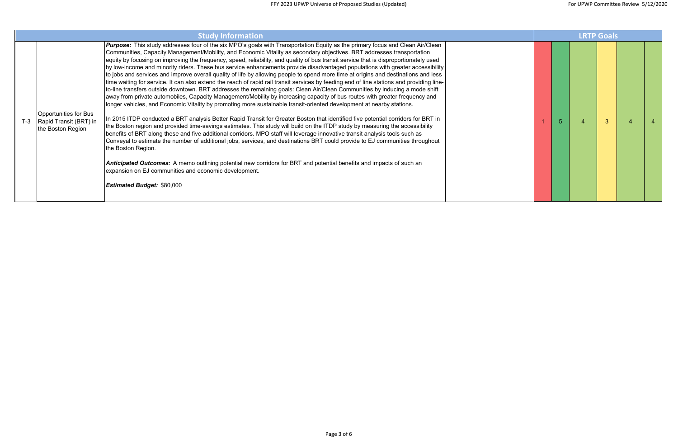| <b>Study Information</b> |                                                                      |                                                                                                                                                                                                                                                                                                                                                                                                                                                                                                                                                                                                                                                                                                                                                                                                                                                                                                                                                                                                                                                                                                                                                                                                                                                                                                                                                                                                                                                                                                                                                                                                                                                                                                                                                                                                                                                                                                                                                                                                  |  |  |  |  |  |
|--------------------------|----------------------------------------------------------------------|--------------------------------------------------------------------------------------------------------------------------------------------------------------------------------------------------------------------------------------------------------------------------------------------------------------------------------------------------------------------------------------------------------------------------------------------------------------------------------------------------------------------------------------------------------------------------------------------------------------------------------------------------------------------------------------------------------------------------------------------------------------------------------------------------------------------------------------------------------------------------------------------------------------------------------------------------------------------------------------------------------------------------------------------------------------------------------------------------------------------------------------------------------------------------------------------------------------------------------------------------------------------------------------------------------------------------------------------------------------------------------------------------------------------------------------------------------------------------------------------------------------------------------------------------------------------------------------------------------------------------------------------------------------------------------------------------------------------------------------------------------------------------------------------------------------------------------------------------------------------------------------------------------------------------------------------------------------------------------------------------|--|--|--|--|--|
| $T-3$                    | Opportunities for Bus<br>Rapid Transit (BRT) in<br>the Boston Region | Purpose: This study addresses four of the six MPO's goals with Transportation Equity as the primary focus and Clean Air/Clean<br>Communities, Capacity Management/Mobility, and Economic Vitality as secondary objectives. BRT addresses transportation<br>equity by focusing on improving the frequency, speed, reliability, and quality of bus transit service that is disproportionately used<br>by low-income and minority riders. These bus service enhancements provide disadvantaged populations with greater accessibility<br>to jobs and services and improve overall quality of life by allowing people to spend more time at origins and destinations and less<br>time waiting for service. It can also extend the reach of rapid rail transit services by feeding end of line stations and providing line-<br>to-line transfers outside downtown. BRT addresses the remaining goals: Clean Air/Clean Communities by inducing a mode shift<br>away from private automobiles, Capacity Management/Mobility by increasing capacity of bus routes with greater frequency and<br>longer vehicles, and Economic Vitality by promoting more sustainable transit-oriented development at nearby stations.<br>In 2015 ITDP conducted a BRT analysis Better Rapid Transit for Greater Boston that identified five potential corridors for BRT in<br>the Boston region and provided time-savings estimates. This study will build on the ITDP study by measuring the accessibility<br>benefits of BRT along these and five additional corridors. MPO staff will leverage innovative transit analysis tools such as<br>Conveyal to estimate the number of additional jobs, services, and destinations BRT could provide to EJ communities throughout<br>the Boston Region.<br>Anticipated Outcomes: A memo outlining potential new corridors for BRT and potential benefits and impacts of such an<br>expansion on EJ communities and economic development.<br><b>Estimated Budget: \$80,000</b> |  |  |  |  |  |

|                | <b>LRTP Goals</b> |                |              |                |                         |  |  |  |  |  |  |
|----------------|-------------------|----------------|--------------|----------------|-------------------------|--|--|--|--|--|--|
| $\overline{1}$ | $\overline{5}$    | $\overline{4}$ | $\mathbf{3}$ | $\overline{4}$ | $\overline{\mathbf{4}}$ |  |  |  |  |  |  |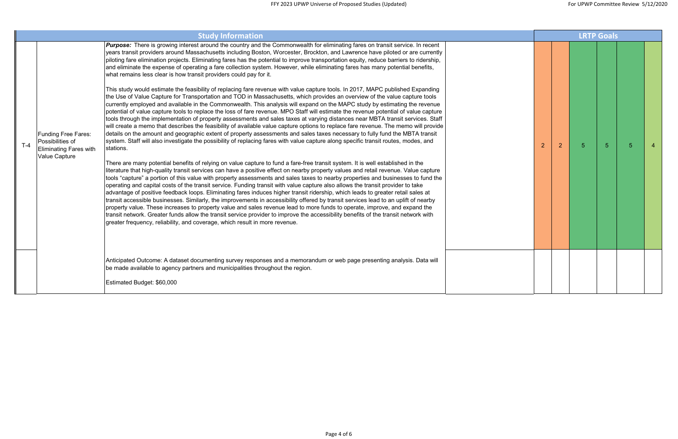| <b>Study Information</b> |                                                                                                         |                                                                                                                                                                                                                                                                                                                                                                                                                                                                                                                                                                                                                                                                                                                                                                                                                                                                                                                                                                                                                                                                                                                                                                                                                                                                                                                                                                                                                                                                                                                                                                                                                                                                                                                                                                                                                                                                                                                                                                                                                                                                                                                                                                                                                                                                                                                                                                                                                                                                                                                                                                                                                                                                                                                                                                                                                                                                                                                     |  |                |   |                | <b>LRTP Goals</b> |
|--------------------------|---------------------------------------------------------------------------------------------------------|---------------------------------------------------------------------------------------------------------------------------------------------------------------------------------------------------------------------------------------------------------------------------------------------------------------------------------------------------------------------------------------------------------------------------------------------------------------------------------------------------------------------------------------------------------------------------------------------------------------------------------------------------------------------------------------------------------------------------------------------------------------------------------------------------------------------------------------------------------------------------------------------------------------------------------------------------------------------------------------------------------------------------------------------------------------------------------------------------------------------------------------------------------------------------------------------------------------------------------------------------------------------------------------------------------------------------------------------------------------------------------------------------------------------------------------------------------------------------------------------------------------------------------------------------------------------------------------------------------------------------------------------------------------------------------------------------------------------------------------------------------------------------------------------------------------------------------------------------------------------------------------------------------------------------------------------------------------------------------------------------------------------------------------------------------------------------------------------------------------------------------------------------------------------------------------------------------------------------------------------------------------------------------------------------------------------------------------------------------------------------------------------------------------------------------------------------------------------------------------------------------------------------------------------------------------------------------------------------------------------------------------------------------------------------------------------------------------------------------------------------------------------------------------------------------------------------------------------------------------------------------------------------------------------|--|----------------|---|----------------|-------------------|
| $T-4$                    | <b>Funding Free Fares:</b><br>Possibilities of<br><b>Eliminating Fares with</b><br><b>Value Capture</b> | <b>Purpose:</b> There is growing interest around the country and the Commonwealth for eliminating fares on transit service. In recent<br>years transit providers around Massachusetts including Boston, Worcester, Brockton, and Lawrence have piloted or are currently<br>piloting fare elimination projects. Eliminating fares has the potential to improve transportation equity, reduce barriers to ridership,<br>and eliminate the expense of operating a fare collection system. However, while eliminating fares has many potential benefits,<br>what remains less clear is how transit providers could pay for it.<br>This study would estimate the feasibility of replacing fare revenue with value capture tools. In 2017, MAPC published Expanding<br>the Use of Value Capture for Transportation and TOD in Massachusetts, which provides an overview of the value capture tools<br>currently employed and available in the Commonwealth. This analysis will expand on the MAPC study by estimating the revenue<br>potential of value capture tools to replace the loss of fare revenue. MPO Staff will estimate the revenue potential of value capture<br>tools through the implementation of property assessments and sales taxes at varying distances near MBTA transit services. Staff<br>will create a memo that describes the feasibility of available value capture options to replace fare revenue. The memo will provide<br>details on the amount and geographic extent of property assessments and sales taxes necessary to fully fund the MBTA transit<br>system. Staff will also investigate the possibility of replacing fares with value capture along specific transit routes, modes, and<br>stations.<br>There are many potential benefits of relying on value capture to fund a fare-free transit system. It is well established in the<br>literature that high-quality transit services can have a positive effect on nearby property values and retail revenue. Value capture<br>tools "capture" a portion of this value with property assessments and sales taxes to nearby properties and businesses to fund the<br>operating and capital costs of the transit service. Funding transit with value capture also allows the transit provider to take<br>advantage of positive feedback loops. Eliminating fares induces higher transit ridership, which leads to greater retail sales at<br>transit accessible businesses. Similarly, the improvements in accessibility offered by transit services lead to an uplift of nearby<br>property value. These increases to property value and sales revenue lead to more funds to operate, improve, and expand the<br>transit network. Greater funds allow the transit service provider to improve the accessibility benefits of the transit network with<br>greater frequency, reliability, and coverage, which result in more revenue. |  | $\overline{2}$ | 2 | $5\phantom{.}$ | $5\overline{)}$   |
|                          |                                                                                                         | Anticipated Outcome: A dataset documenting survey responses and a memorandum or web page presenting analysis. Data will<br>be made available to agency partners and municipalities throughout the region.<br>Estimated Budget: \$60,000                                                                                                                                                                                                                                                                                                                                                                                                                                                                                                                                                                                                                                                                                                                                                                                                                                                                                                                                                                                                                                                                                                                                                                                                                                                                                                                                                                                                                                                                                                                                                                                                                                                                                                                                                                                                                                                                                                                                                                                                                                                                                                                                                                                                                                                                                                                                                                                                                                                                                                                                                                                                                                                                             |  |                |   |                |                   |

|                | LRTP Goals     |                |                |                |                         |  |  |  |  |  |  |
|----------------|----------------|----------------|----------------|----------------|-------------------------|--|--|--|--|--|--|
| $\overline{2}$ | $\overline{a}$ | $\overline{5}$ | $\overline{5}$ | $\overline{5}$ | $\overline{\mathbf{4}}$ |  |  |  |  |  |  |
|                |                |                |                |                |                         |  |  |  |  |  |  |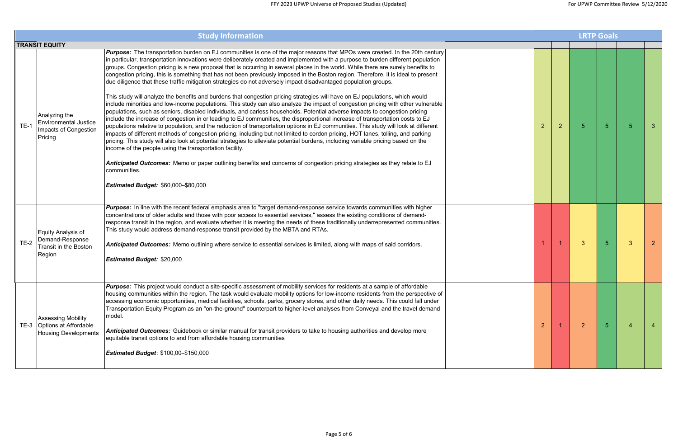| <b>Study Information</b> |                                                                                          |                                                                                                                                                                                                                                                                                                                                                                                                                                                                                                                                                                                                                                                                                                                                                                                                                                                                                                                                                                                                                                                                                                                                                                                                                                                                                                                                                                                                                                                                                                                                                                                                                                                                                                                                                                                                                                                                                      |  |                |                |                | <b>LRTP Goals</b> |
|--------------------------|------------------------------------------------------------------------------------------|--------------------------------------------------------------------------------------------------------------------------------------------------------------------------------------------------------------------------------------------------------------------------------------------------------------------------------------------------------------------------------------------------------------------------------------------------------------------------------------------------------------------------------------------------------------------------------------------------------------------------------------------------------------------------------------------------------------------------------------------------------------------------------------------------------------------------------------------------------------------------------------------------------------------------------------------------------------------------------------------------------------------------------------------------------------------------------------------------------------------------------------------------------------------------------------------------------------------------------------------------------------------------------------------------------------------------------------------------------------------------------------------------------------------------------------------------------------------------------------------------------------------------------------------------------------------------------------------------------------------------------------------------------------------------------------------------------------------------------------------------------------------------------------------------------------------------------------------------------------------------------------|--|----------------|----------------|----------------|-------------------|
|                          | <b>TRANSIT EQUITY</b>                                                                    |                                                                                                                                                                                                                                                                                                                                                                                                                                                                                                                                                                                                                                                                                                                                                                                                                                                                                                                                                                                                                                                                                                                                                                                                                                                                                                                                                                                                                                                                                                                                                                                                                                                                                                                                                                                                                                                                                      |  |                |                |                |                   |
| $TE-1$                   | Analyzing the<br><b>Environmental Justice</b><br>Impacts of Congestion<br>Pricing        | <b>Purpose:</b> The transportation burden on EJ communities is one of the major reasons that MPOs were created. In the 20th century<br>in particular, transportation innovations were deliberately created and implemented with a purpose to burden different population<br>groups. Congestion pricing is a new proposal that is occurring in several places in the world. While there are surely benefits to<br>congestion pricing, this is something that has not been previously imposed in the Boston region. Therefore, it is ideal to present<br>due diligence that these traffic mitigation strategies do not adversely impact disadvantaged population groups.<br>This study will analyze the benefits and burdens that congestion pricing strategies will have on EJ populations, which would<br>include minorities and low-income populations. This study can also analyze the impact of congestion pricing with other vulnerable<br>populations, such as seniors, disabled individuals, and carless households. Potential adverse impacts to congestion pricing<br>include the increase of congestion in or leading to EJ communities, the disproportional increase of transportation costs to EJ<br>populations relative to population, and the reduction of transportation options in EJ communities. This study will look at different<br>impacts of different methods of congestion pricing, including but not limited to cordon pricing, HOT lanes, tolling, and parking<br>pricing. This study will also look at potential strategies to alleviate potential burdens, including variable pricing based on the<br>income of the people using the transportation facility.<br>Anticipated Outcomes: Memo or paper outlining benefits and concerns of congestion pricing strategies as they relate to EJ<br>communities.<br><b>Estimated Budget: \$60,000-\$80,000</b> |  | $\overline{2}$ | $\overline{2}$ | $5\phantom{.}$ | $\sqrt{5}$        |
| <b>TE-2</b>              | <b>Equity Analysis of</b><br>Demand-Response<br>Transit in the Boston<br>Region          | <b>Purpose:</b> In line with the recent federal emphasis area to "target demand-response service towards communities with higher<br>concentrations of older adults and those with poor access to essential services," assess the existing conditions of demand-<br>response transit in the region, and evaluate whether it is meeting the needs of these traditionally underrepresented communities.<br>This study would address demand-response transit provided by the MBTA and RTAs.<br>Anticipated Outcomes: Memo outlining where service to essential services is limited, along with maps of said corridors.<br><b>Estimated Budget: \$20,000</b>                                                                                                                                                                                                                                                                                                                                                                                                                                                                                                                                                                                                                                                                                                                                                                                                                                                                                                                                                                                                                                                                                                                                                                                                                              |  |                |                | $\mathbf{3}$   |                   |
|                          | <b>Assessing Mobility</b><br>TE-3   Options at Affordable<br><b>Housing Developments</b> | <b>Purpose:</b> This project would conduct a site-specific assessment of mobility services for residents at a sample of affordable<br>housing communities within the region. The task would evaluate mobility options for low-income residents from the perspective of<br>accessing economic opportunities, medical facilities, schools, parks, grocery stores, and other daily needs. This could fall under<br>Transportation Equity Program as an "on-the-ground" counterpart to higher-level analyses from Conveyal and the travel demand<br>model.<br>Anticipated Outcomes: Guidebook or similar manual for transit providers to take to housing authorities and develop more<br>equitable transit options to and from affordable housing communities<br><b>Estimated Budget: \$100,00-\$150,000</b>                                                                                                                                                                                                                                                                                                                                                                                                                                                                                                                                                                                                                                                                                                                                                                                                                                                                                                                                                                                                                                                                             |  | $\overline{2}$ |                | $\overline{2}$ | $5\phantom{.0}$   |

|                |                |                | <b>LRTP Goals</b> |                         |                         |
|----------------|----------------|----------------|-------------------|-------------------------|-------------------------|
| $\overline{c}$ | $\overline{c}$ | 5              | $\overline{5}$    | $\overline{5}$          | $\overline{3}$          |
| $\overline{1}$ | $\overline{1}$ | $\overline{3}$ | $\overline{5}$    | $\overline{3}$          | $\overline{a}$          |
| $\overline{a}$ | $\overline{1}$ | $\overline{c}$ | $\overline{5}$    | $\overline{\mathbf{4}}$ | $\overline{\mathbf{4}}$ |